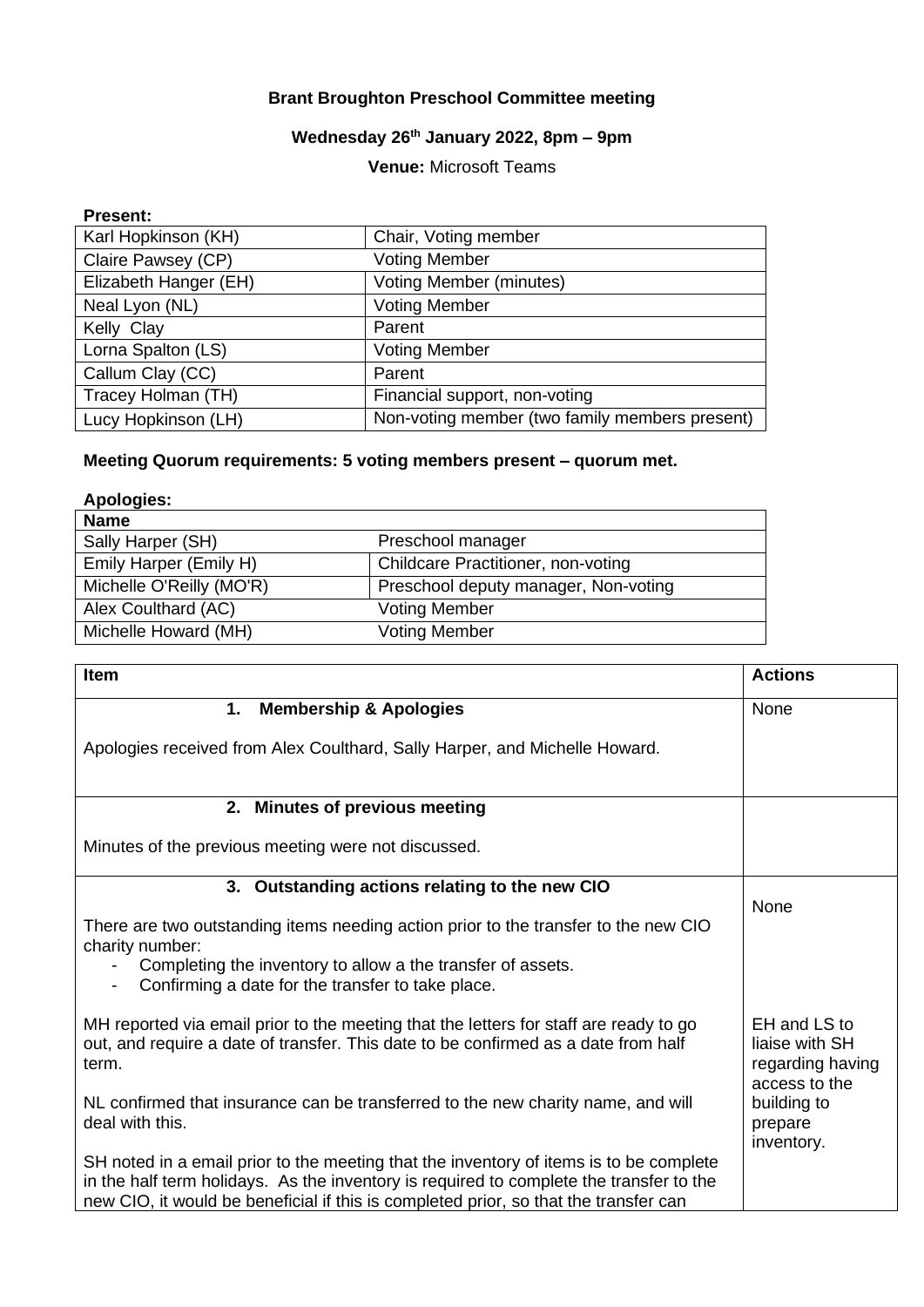# **Brant Broughton Preschool Committee meeting**

# **Wednesday 26th January 2022, 8pm – 9pm**

## **Venue:** Microsoft Teams

#### **Present:**

| Karl Hopkinson (KH)   | Chair, Voting member                           |
|-----------------------|------------------------------------------------|
| Claire Pawsey (CP)    | <b>Voting Member</b>                           |
| Elizabeth Hanger (EH) | <b>Voting Member (minutes)</b>                 |
| Neal Lyon (NL)        | <b>Voting Member</b>                           |
| Kelly Clay            | Parent                                         |
| Lorna Spalton (LS)    | <b>Voting Member</b>                           |
| Callum Clay (CC)      | Parent                                         |
| Tracey Holman (TH)    | Financial support, non-voting                  |
| Lucy Hopkinson (LH)   | Non-voting member (two family members present) |

# **Meeting Quorum requirements: 5 voting members present – quorum met.**

| <b>Apologies:</b>        |                                      |
|--------------------------|--------------------------------------|
| <b>Name</b>              |                                      |
| Sally Harper (SH)        | Preschool manager                    |
| Emily Harper (Emily H)   | Childcare Practitioner, non-voting   |
| Michelle O'Reilly (MO'R) | Preschool deputy manager, Non-voting |
| Alex Coulthard (AC)      | <b>Voting Member</b>                 |
| Michelle Howard (MH)     | <b>Voting Member</b>                 |
|                          |                                      |

| <b>Item</b>                                                                                                                                                                                                                                                               | <b>Actions</b>                                                      |
|---------------------------------------------------------------------------------------------------------------------------------------------------------------------------------------------------------------------------------------------------------------------------|---------------------------------------------------------------------|
| 1.<br><b>Membership &amp; Apologies</b>                                                                                                                                                                                                                                   | None                                                                |
| Apologies received from Alex Coulthard, Sally Harper, and Michelle Howard.                                                                                                                                                                                                |                                                                     |
| 2. Minutes of previous meeting                                                                                                                                                                                                                                            |                                                                     |
| Minutes of the previous meeting were not discussed.                                                                                                                                                                                                                       |                                                                     |
| 3. Outstanding actions relating to the new CIO                                                                                                                                                                                                                            | None                                                                |
| There are two outstanding items needing action prior to the transfer to the new CIO<br>charity number:<br>Completing the inventory to allow a the transfer of assets.<br>Confirming a date for the transfer to take place.<br>$\overline{\phantom{a}}$                    |                                                                     |
| MH reported via email prior to the meeting that the letters for staff are ready to go<br>out, and require a date of transfer. This date to be confirmed as a date from half<br>term.                                                                                      | EH and LS to<br>liaise with SH<br>regarding having<br>access to the |
| NL confirmed that insurance can be transferred to the new charity name, and will<br>deal with this.                                                                                                                                                                       | building to<br>prepare<br>inventory.                                |
| SH noted in a email prior to the meeting that the inventory of items is to be complete<br>in the half term holidays. As the inventory is required to complete the transfer to the<br>new CIO, it would be beneficial if this is completed prior, so that the transfer can |                                                                     |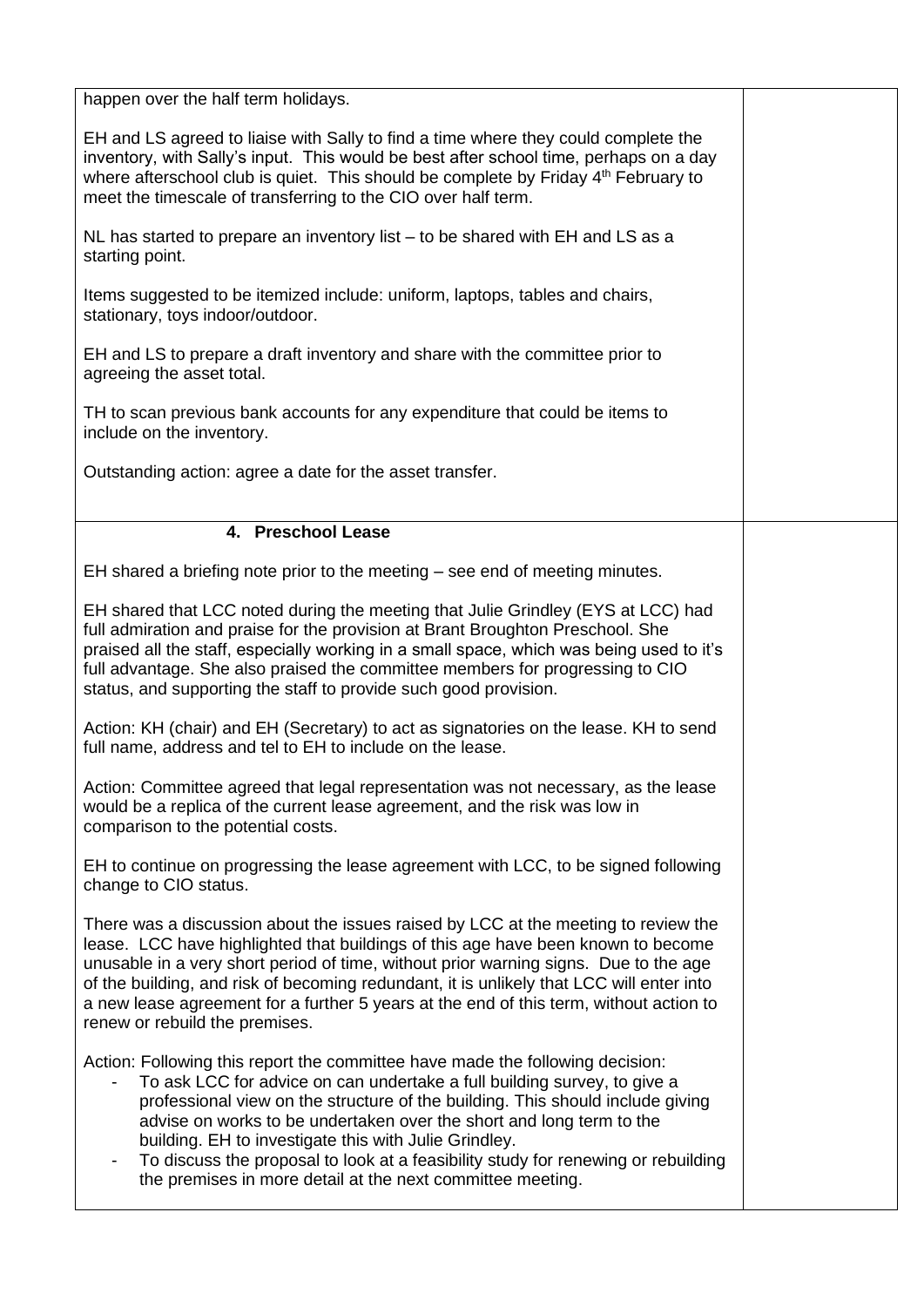happen over the half term holidays.

EH and LS agreed to liaise with Sally to find a time where they could complete the inventory, with Sally's input. This would be best after school time, perhaps on a day where afterschool club is quiet. This should be complete by Friday  $4<sup>th</sup>$  February to meet the timescale of transferring to the CIO over half term.

NL has started to prepare an inventory list – to be shared with EH and LS as a starting point.

Items suggested to be itemized include: uniform, laptops, tables and chairs, stationary, toys indoor/outdoor.

EH and LS to prepare a draft inventory and share with the committee prior to agreeing the asset total.

TH to scan previous bank accounts for any expenditure that could be items to include on the inventory.

Outstanding action: agree a date for the asset transfer.

### **4. Preschool Lease**

EH shared a briefing note prior to the meeting – see end of meeting minutes.

EH shared that LCC noted during the meeting that Julie Grindley (EYS at LCC) had full admiration and praise for the provision at Brant Broughton Preschool. She praised all the staff, especially working in a small space, which was being used to it's full advantage. She also praised the committee members for progressing to CIO status, and supporting the staff to provide such good provision.

Action: KH (chair) and EH (Secretary) to act as signatories on the lease. KH to send full name, address and tel to EH to include on the lease.

Action: Committee agreed that legal representation was not necessary, as the lease would be a replica of the current lease agreement, and the risk was low in comparison to the potential costs.

EH to continue on progressing the lease agreement with LCC, to be signed following change to CIO status.

There was a discussion about the issues raised by LCC at the meeting to review the lease. LCC have highlighted that buildings of this age have been known to become unusable in a very short period of time, without prior warning signs. Due to the age of the building, and risk of becoming redundant, it is unlikely that LCC will enter into a new lease agreement for a further 5 years at the end of this term, without action to renew or rebuild the premises.

Action: Following this report the committee have made the following decision:

- To ask LCC for advice on can undertake a full building survey, to give a professional view on the structure of the building. This should include giving advise on works to be undertaken over the short and long term to the building. EH to investigate this with Julie Grindley.
- To discuss the proposal to look at a feasibility study for renewing or rebuilding the premises in more detail at the next committee meeting.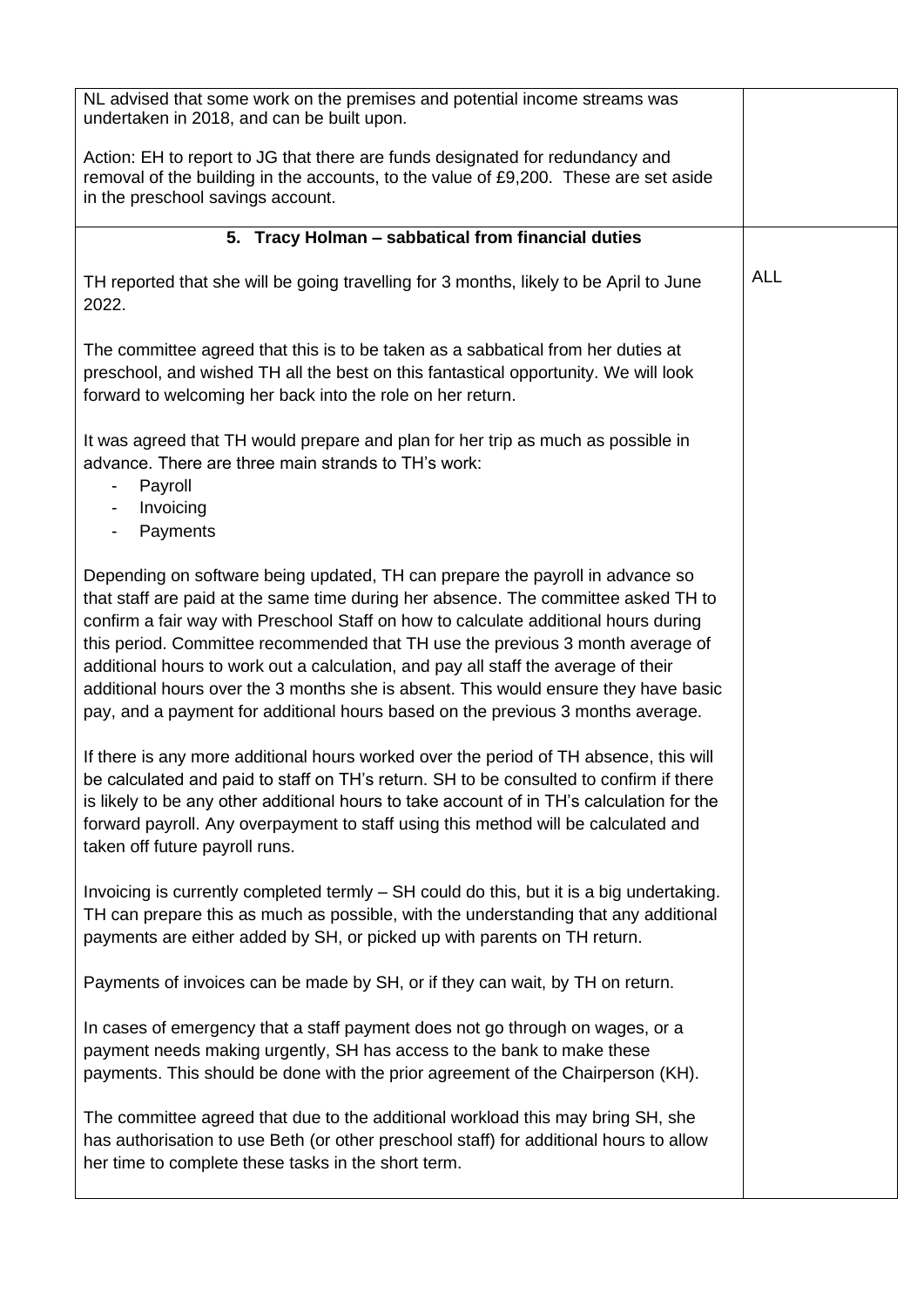| NL advised that some work on the premises and potential income streams was<br>undertaken in 2018, and can be built upon.                                                                                                                                                                                                                                                                                                                                                                                                                                                                                     |            |
|--------------------------------------------------------------------------------------------------------------------------------------------------------------------------------------------------------------------------------------------------------------------------------------------------------------------------------------------------------------------------------------------------------------------------------------------------------------------------------------------------------------------------------------------------------------------------------------------------------------|------------|
| Action: EH to report to JG that there are funds designated for redundancy and<br>removal of the building in the accounts, to the value of £9,200. These are set aside<br>in the preschool savings account.                                                                                                                                                                                                                                                                                                                                                                                                   |            |
| 5. Tracy Holman - sabbatical from financial duties                                                                                                                                                                                                                                                                                                                                                                                                                                                                                                                                                           |            |
| TH reported that she will be going travelling for 3 months, likely to be April to June<br>2022.                                                                                                                                                                                                                                                                                                                                                                                                                                                                                                              | <b>ALL</b> |
| The committee agreed that this is to be taken as a sabbatical from her duties at<br>preschool, and wished TH all the best on this fantastical opportunity. We will look<br>forward to welcoming her back into the role on her return.                                                                                                                                                                                                                                                                                                                                                                        |            |
| It was agreed that TH would prepare and plan for her trip as much as possible in<br>advance. There are three main strands to TH's work:<br>Payroll<br>$\overline{\phantom{a}}$<br>Invoicing<br>$\overline{\phantom{a}}$<br>Payments                                                                                                                                                                                                                                                                                                                                                                          |            |
| Depending on software being updated, TH can prepare the payroll in advance so<br>that staff are paid at the same time during her absence. The committee asked TH to<br>confirm a fair way with Preschool Staff on how to calculate additional hours during<br>this period. Committee recommended that TH use the previous 3 month average of<br>additional hours to work out a calculation, and pay all staff the average of their<br>additional hours over the 3 months she is absent. This would ensure they have basic<br>pay, and a payment for additional hours based on the previous 3 months average. |            |
| If there is any more additional hours worked over the period of TH absence, this will<br>be calculated and paid to staff on TH's return. SH to be consulted to confirm if there<br>is likely to be any other additional hours to take account of in TH's calculation for the<br>forward payroll. Any overpayment to staff using this method will be calculated and<br>taken off future payroll runs.                                                                                                                                                                                                         |            |
| Invoicing is currently completed termly – SH could do this, but it is a big undertaking.<br>TH can prepare this as much as possible, with the understanding that any additional<br>payments are either added by SH, or picked up with parents on TH return.                                                                                                                                                                                                                                                                                                                                                  |            |
| Payments of invoices can be made by SH, or if they can wait, by TH on return.                                                                                                                                                                                                                                                                                                                                                                                                                                                                                                                                |            |
| In cases of emergency that a staff payment does not go through on wages, or a<br>payment needs making urgently, SH has access to the bank to make these<br>payments. This should be done with the prior agreement of the Chairperson (KH).                                                                                                                                                                                                                                                                                                                                                                   |            |
| The committee agreed that due to the additional workload this may bring SH, she<br>has authorisation to use Beth (or other preschool staff) for additional hours to allow<br>her time to complete these tasks in the short term.                                                                                                                                                                                                                                                                                                                                                                             |            |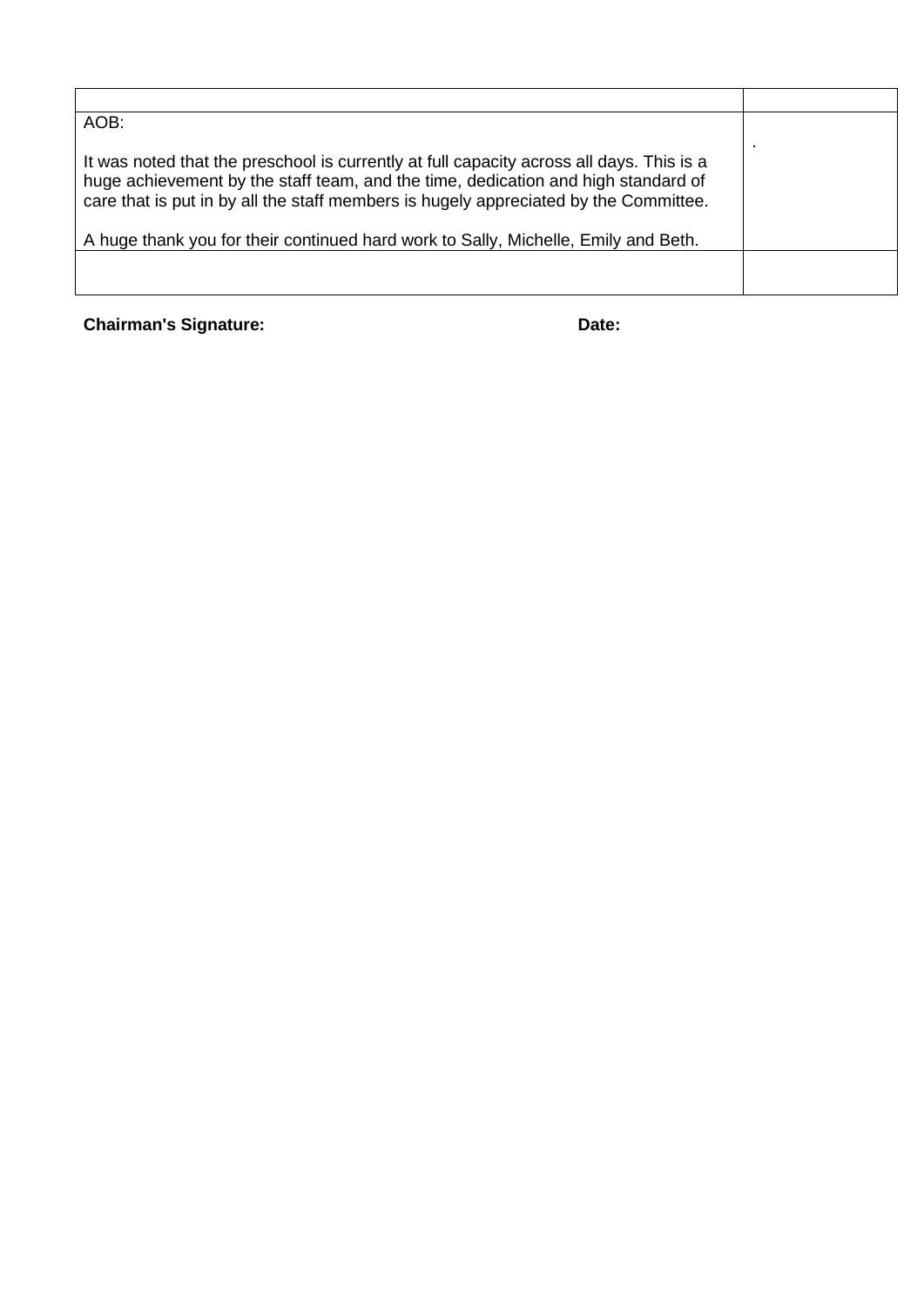**Chairman's Signature:** Date: Date: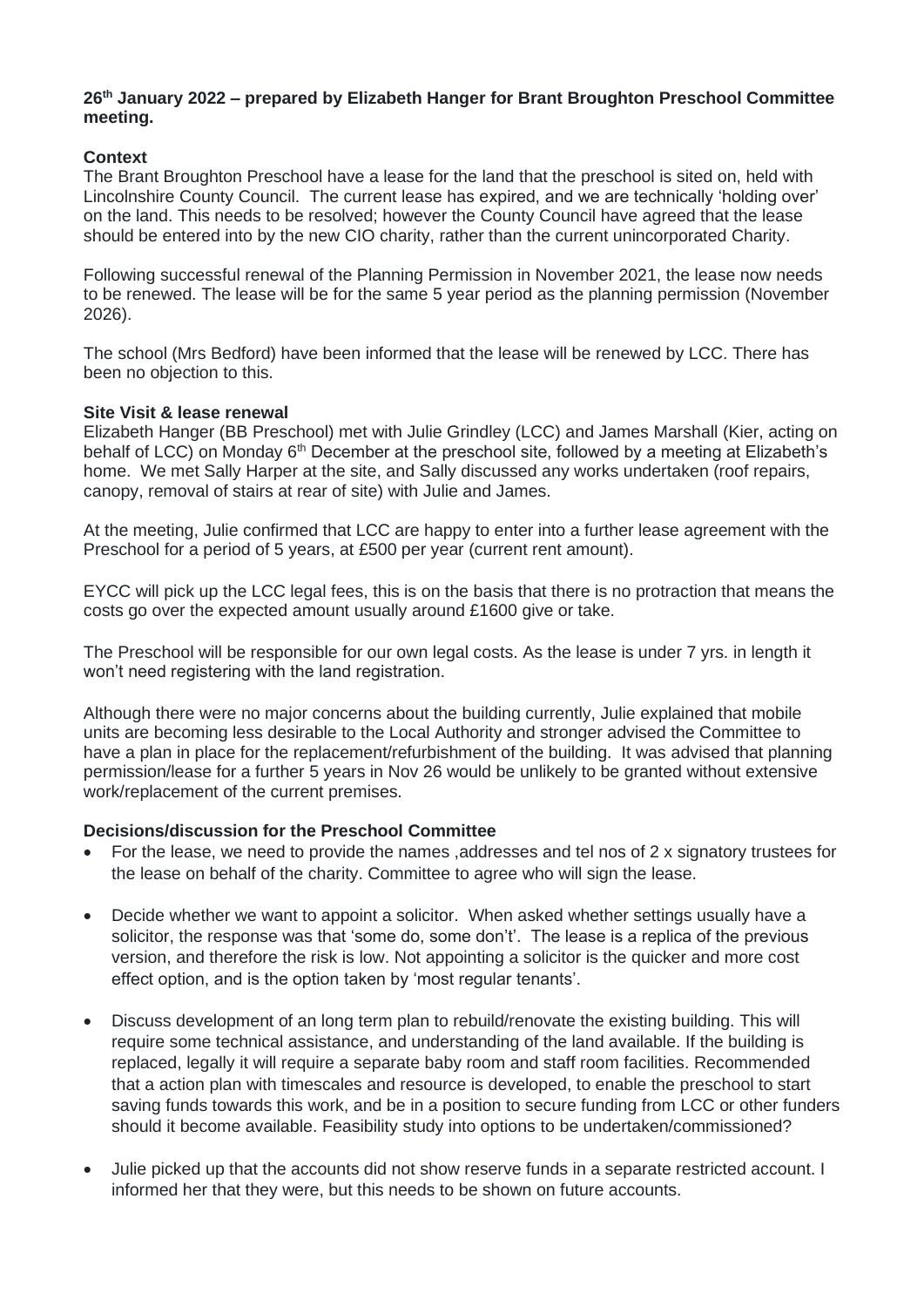#### **26th January 2022 – prepared by Elizabeth Hanger for Brant Broughton Preschool Committee meeting.**

### **Context**

The Brant Broughton Preschool have a lease for the land that the preschool is sited on, held with Lincolnshire County Council. The current lease has expired, and we are technically 'holding over' on the land. This needs to be resolved; however the County Council have agreed that the lease should be entered into by the new CIO charity, rather than the current unincorporated Charity.

Following successful renewal of the Planning Permission in November 2021, the lease now needs to be renewed. The lease will be for the same 5 year period as the planning permission (November 2026).

The school (Mrs Bedford) have been informed that the lease will be renewed by LCC. There has been no objection to this.

#### **Site Visit & lease renewal**

Elizabeth Hanger (BB Preschool) met with Julie Grindley (LCC) and James Marshall (Kier, acting on behalf of LCC) on Monday 6<sup>th</sup> December at the preschool site, followed by a meeting at Elizabeth's home. We met Sally Harper at the site, and Sally discussed any works undertaken (roof repairs, canopy, removal of stairs at rear of site) with Julie and James.

At the meeting, Julie confirmed that LCC are happy to enter into a further lease agreement with the Preschool for a period of 5 years, at £500 per year (current rent amount).

EYCC will pick up the LCC legal fees, this is on the basis that there is no protraction that means the costs go over the expected amount usually around £1600 give or take.

The Preschool will be responsible for our own legal costs. As the lease is under 7 yrs. in length it won't need registering with the land registration.

Although there were no major concerns about the building currently, Julie explained that mobile units are becoming less desirable to the Local Authority and stronger advised the Committee to have a plan in place for the replacement/refurbishment of the building. It was advised that planning permission/lease for a further 5 years in Nov 26 would be unlikely to be granted without extensive work/replacement of the current premises.

### **Decisions/discussion for the Preschool Committee**

- For the lease, we need to provide the names ,addresses and tel nos of 2 x signatory trustees for the lease on behalf of the charity. Committee to agree who will sign the lease.
- Decide whether we want to appoint a solicitor. When asked whether settings usually have a solicitor, the response was that 'some do, some don't'. The lease is a replica of the previous version, and therefore the risk is low. Not appointing a solicitor is the quicker and more cost effect option, and is the option taken by 'most regular tenants'.
- Discuss development of an long term plan to rebuild/renovate the existing building. This will require some technical assistance, and understanding of the land available. If the building is replaced, legally it will require a separate baby room and staff room facilities. Recommended that a action plan with timescales and resource is developed, to enable the preschool to start saving funds towards this work, and be in a position to secure funding from LCC or other funders should it become available. Feasibility study into options to be undertaken/commissioned?
- Julie picked up that the accounts did not show reserve funds in a separate restricted account. I informed her that they were, but this needs to be shown on future accounts.